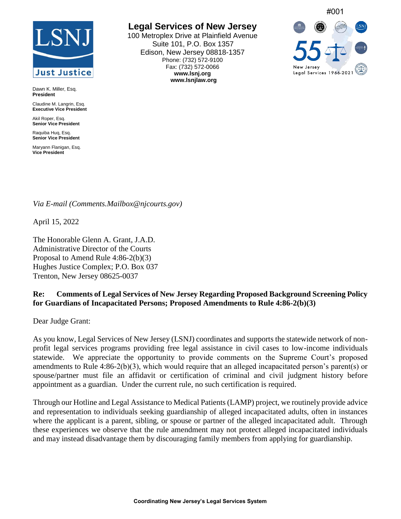## **Just Justice**

Dawn K. Miller, Esq. **President**

Claudine M. Langrin, Esq. **Executive Vice President**

Akil Roper, Esg. **Senior Vice President**

Raquiba Huq, Esq. **Senior Vice President**

Maryann Flanigan, Esq. **Vice President**

## **Legal Services of New Jersey**

100 Metroplex Drive at Plainfield Avenue Suite 101, P.O. Box 1357 Edison, New Jersey 08818-1357 Phone: (732) 572-9100 Fax: (732) 572-0066 **www.lsnj.org www.lsnjlaw.org**



## *Via E-mail (Comments.Mailbox@njcourts.gov)*

April 15, 2022

The Honorable Glenn A. Grant, J.A.D. Administrative Director of the Courts Proposal to Amend Rule 4:86-2(b)(3) Hughes Justice Complex; P.O. Box 037 Trenton, New Jersey 08625-0037

## **Re: Comments of Legal Services of New Jersey Regarding Proposed Background Screening Policy for Guardians of Incapacitated Persons; Proposed Amendments to Rule 4:86-2(b)(3)**

Dear Judge Grant:

As you know, Legal Services of New Jersey (LSNJ) coordinates and supports the statewide network of nonprofit legal services programs providing free legal assistance in civil cases to low-income individuals statewide. We appreciate the opportunity to provide comments on the Supreme Court's proposed amendments to Rule 4:86-2(b)(3), which would require that an alleged incapacitated person's parent(s) or spouse/partner must file an affidavit or certification of criminal and civil judgment history before appointment as a guardian. Under the current rule, no such certification is required.

Through our Hotline and Legal Assistance to Medical Patients (LAMP) project, we routinely provide advice and representation to individuals seeking guardianship of alleged incapacitated adults, often in instances where the applicant is a parent, sibling, or spouse or partner of the alleged incapacitated adult. Through these experiences we observe that the rule amendment may not protect alleged incapacitated individuals and may instead disadvantage them by discouraging family members from applying for guardianship.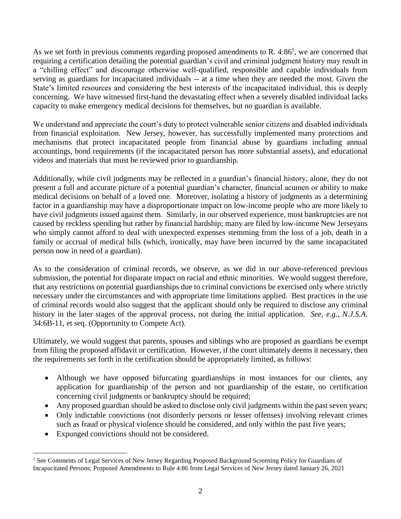As we set forth in previous comments regarding proposed amendments to R.  $4:86<sup>1</sup>$ , we are concerned that requiring a certification detailing the potential guardian's civil and criminal judgment history may result in a "chilling effect" and discourage otherwise well-qualified, responsible and capable individuals from serving as guardians for incapacitated individuals -- at a time when they are needed the most. Given the State's limited resources and considering the best interests of the incapacitated individual, this is deeply concerning. We have witnessed first-hand the devastating effect when a severely disabled individual lacks capacity to make emergency medical decisions for themselves, but no guardian is available.

We understand and appreciate the court's duty to protect vulnerable senior citizens and disabled individuals from financial exploitation. New Jersey, however, has successfully implemented many protections and mechanisms that protect incapacitated people from financial abuse by guardians including annual accountings, bond requirements (if the incapacitated person has more substantial assets), and educational videos and materials that must be reviewed prior to guardianship.

Additionally, while civil judgments may be reflected in a guardian's financial history, alone, they do not present a full and accurate picture of a potential guardian's character, financial acumen or ability to make medical decisions on behalf of a loved one. Moreover, isolating a history of judgments as a determining factor in a guardianship may have a disproportionate impact on low-income people who are more likely to have civil judgments issued against them. Similarly, in our observed experience, most bankruptcies are not caused by reckless spending but rather by financial hardship; many are filed by low-income New Jerseyans who simply cannot afford to deal with unexpected expenses stemming from the loss of a job, death in a family or accrual of medical bills (which, ironically, may have been incurred by the same incapacitated person now in need of a guardian).

As to the consideration of criminal records, we observe, as we did in our above-referenced previous submission, the potential for disparate impact on racial and ethnic minorities. We would suggest therefore, that any restrictions on potential guardianships due to criminal convictions be exercised only where strictly necessary under the circumstances and with appropriate time limitations applied. Best practices in the use of criminal records would also suggest that the applicant should only be required to disclose any criminal history in the later stages of the approval process, not during the initial application. *See, e.g., N.J.S.A*. 34:6B-11, et seq. (Opportunity to Compete Act).

Ultimately, we would suggest that parents, spouses and siblings who are proposed as guardians be exempt from filing the proposed affidavit or certification. However, if the court ultimately deems it necessary, then the requirements set forth in the certification should be appropriately limited, as follows:

- Although we have opposed bifurcating guardianships in most instances for our clients, any application for guardianship of the person and not guardianship of the estate, no certification concerning civil judgments or bankruptcy should be required;
- Any proposed guardian should be asked to disclose only civil judgments within the past seven years;
- Only indictable convictions (not disorderly persons or lesser offenses) involving relevant crimes such as fraud or physical violence should be considered, and only within the past five years;
- Expunged convictions should not be considered.

 $\overline{a}$ 

<sup>&</sup>lt;sup>1</sup> See Comments of Legal Services of New Jersey Regarding Proposed Background Screening Policy for Guardians of Incapacitated Persons; Proposed Amendments to Rule 4:86 from Legal Services of New Jersey dated January 26, 2021